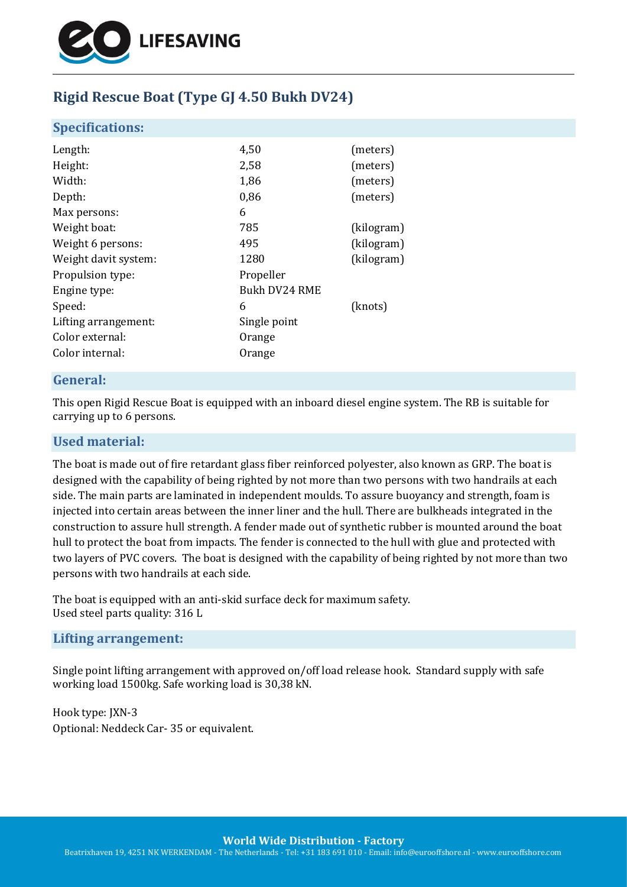

# **Rigid Rescue Boat (Type GJ 4.50 Bukh DV24)**

#### **Specifications:**

| Length:              | 4,50          | (meters)   |
|----------------------|---------------|------------|
| Height:              | 2,58          | (meters)   |
| Width:               | 1,86          | (meters)   |
| Depth:               | 0,86          | (meters)   |
| Max persons:         | 6             |            |
| Weight boat:         | 785           | (kilogram) |
| Weight 6 persons:    | 495           | (kilogram) |
| Weight davit system: | 1280          | (kilogram) |
| Propulsion type:     | Propeller     |            |
| Engine type:         | Bukh DV24 RME |            |
| Speed:               | 6             | (knots)    |
| Lifting arrangement: | Single point  |            |
| Color external:      | Orange        |            |
| Color internal:      | Orange        |            |
|                      |               |            |

## **General:**

This open Rigid Rescue Boat is equipped with an inboard diesel engine system. The RB is suitable for carrying up to 6 persons.

#### **Used material:**

The boat is made out of fire retardant glass fiber reinforced polyester, also known as GRP. The boat is designed with the capability of being righted by not more than two persons with two handrails at each side. The main parts are laminated in independent moulds. To assure buoyancy and strength, foam is injected into certain areas between the inner liner and the hull. There are bulkheads integrated in the construction to assure hull strength. A fender made out of synthetic rubber is mounted around the boat hull to protect the boat from impacts. The fender is connected to the hull with glue and protected with two layers of PVC covers. The boat is designed with the capability of being righted by not more than two persons with two handrails at each side.

The boat is equipped with an anti-skid surface deck for maximum safety. Used steel parts quality: 316 L

#### **Lifting arrangement:**

Single point lifting arrangement with approved on/off load release hook. Standard supply with safe working load 1500kg. Safe working load is 30,38 kN.

Hook type: JXN-3 Optional: Neddeck Car- 35 or equivalent.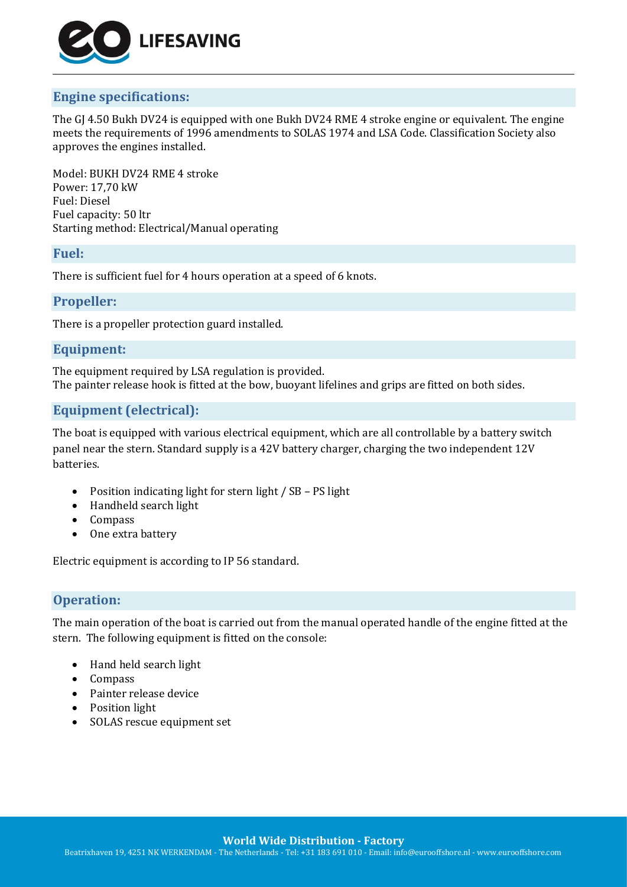

# **Engine specifications:**

The GJ 4.50 Bukh DV24 is equipped with one Bukh DV24 RME 4 stroke engine or equivalent. The engine meets the requirements of 1996 amendments to SOLAS 1974 and LSA Code. Classification Society also approves the engines installed.

Model: BUKH DV24 RME 4 stroke Power: 17,70 kW Fuel: Diesel Fuel capacity: 50 ltr Starting method: Electrical/Manual operating

## **Fuel:**

There is sufficient fuel for 4 hours operation at a speed of 6 knots.

## **Propeller:**

There is a propeller protection guard installed.

## **Equipment:**

The equipment required by LSA regulation is provided. The painter release hook is fitted at the bow, buoyant lifelines and grips are fitted on both sides.

# **Equipment (electrical):**

The boat is equipped with various electrical equipment, which are all controllable by a battery switch panel near the stern. Standard supply is a 42V battery charger, charging the two independent 12V batteries.

- Position indicating light for stern light / SB PS light
- Handheld search light
- Compass
- One extra battery

Electric equipment is according to IP 56 standard.

# **Operation:**

The main operation of the boat is carried out from the manual operated handle of the engine fitted at the stern. The following equipment is fitted on the console:

- Hand held search light
- Compass
- Painter release device
- Position light
- SOLAS rescue equipment set

**World Wide Distribution - Factory**